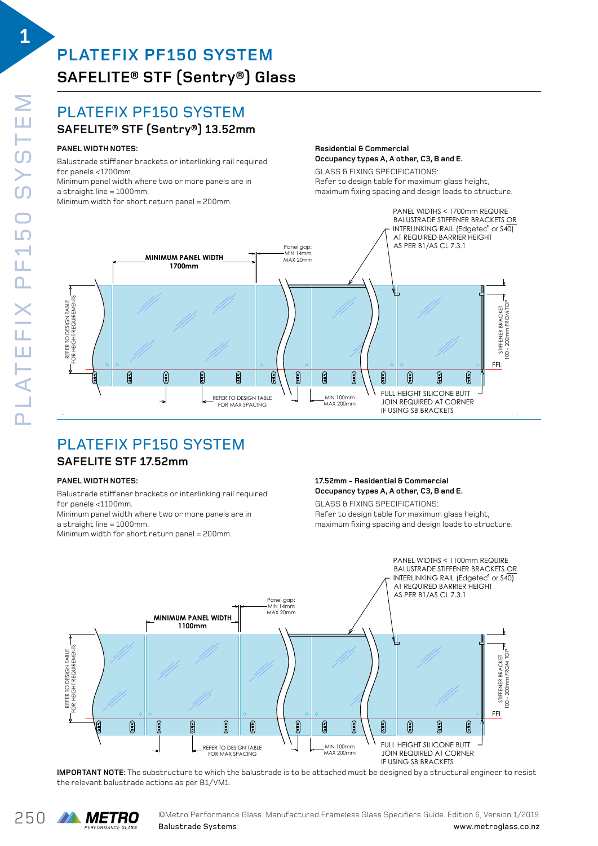**1**

# **PLATEFIX PF150 SYSTEM SAFELITE® STF (Sentry®) Glass**

#### $\mathbf{L}$ PLATEFIX PF150 SYSTEM

## $\mathsf{SAFELITE}$ ®  $\mathsf{STF}\ \mathsf{(Sentry}$ ®) 13.52mm

#### $\blacksquare$ PANEL WIDTH NOTES:

.<br>Minimum panel width where two or more panels are in  $B = 1000$ mm. Balustrade stiffener brackets or interlinking rail required for panels <1700mm.

 $f(x) = 1000$ 

### **Residential & Commercial** Occupancy types A, A other, C3, B and E.

GLASS & FIXING SPECIFICATIONS: maximum fixing spacing and design loads to structure. **Residential & Commercial** Refer to design table for maximum glass height, **Occupancy types A, A other, C3, B and E.** maximum fixing spacing and design loads to structure.



Plate Fix Product and the product of the product of the product of the product of the product of the product o<br>Product of the product of the product of the product of the product of the product of the product of the produc

## **SAFELITE STF 17.52mm** PLATEFIX PF150 SYSTEM

#### **PANEL WIDTH NOTES:**

**PANEL WIDTH NOTES:** for panels <1100mm. Balustrade stiffener brackets or interlinking rail required<br>fer nanele <1100mm

rer panele stifeenmi.<br>Minimum panel width where two or more panels are in . .<br>a straight line = 1000mm.

mum panel width was more panels and panels are in the panels are in the panels are in the panels are in the panels are in the panels are in the panels are in the panels are in the panels are in the panels are in the panels Minimum width for short return panel = 200mm.

#### Refer to design table for maximum glass height, **17.52mm - Residential & Commercial 17.52mm - Residential & Commercial** maximum fixing spacing and design loads to structure. **Occupancy types A, A other, C3, B and E. Occupancy types A, A other, C3, B and E.**

maximum fixing spacing and design loads to structure.  $\mathbf{B}$  $\epsilon$ Refer to design table for maximum glass height, Refer to design table for maximum glass height, GLASS & FIXING SPECIFICATIONS:



rade is to be attached must be designed by a structural engi ر<br>ماد ماد با **IMPORTANT NOTE:** The substructure to which the balustrade is to be attached must be designed by a structural engineer to resist the relevant balustrade actions as per B1/VM1.

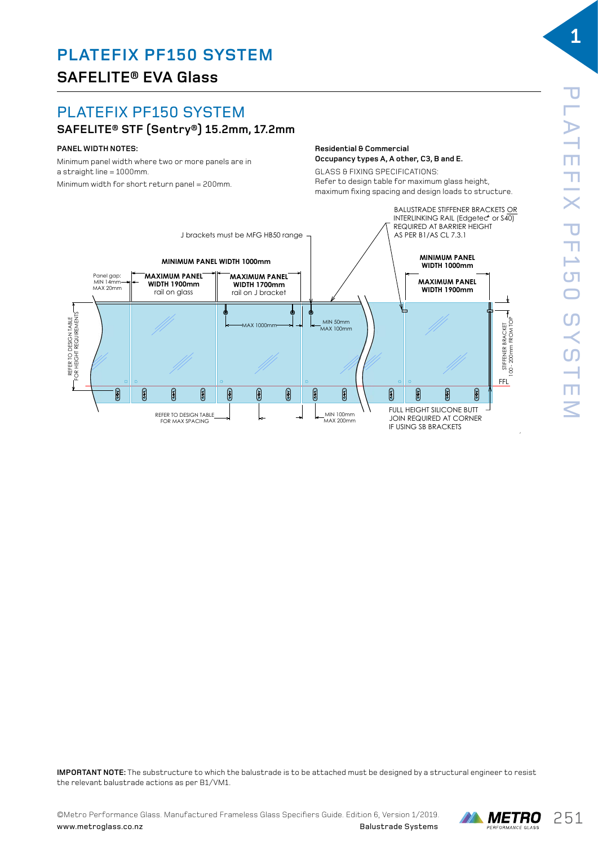# **PLATEFIX PF150 SYSTEM**

## **SAFELITE® STF (Sentry®) 15.2mm, 17.2mm**

### **PANEL WIDTH NOTES:**

SAFELITE EVA 15.2mm Minimum panel width where two or more panels are in<br>http://www.characa.com a straight line = 1000mm.

Minimum width for short return panel = 200mm.<br>'

**Occupancy types A, A other, C3, B and E. Residential & Commercial** Occupancy types A, A other, C3, B and E.

GLASS & FIXING SPECIFICATIONS: Refer to design table for maximum glass height, maximum fixing spacing and design loads to structure.



Plate Fix Product and the product of the product of the product of the product of the product of the product o<br>Product of the product of the product of the product of the product of the product of the product of the produc



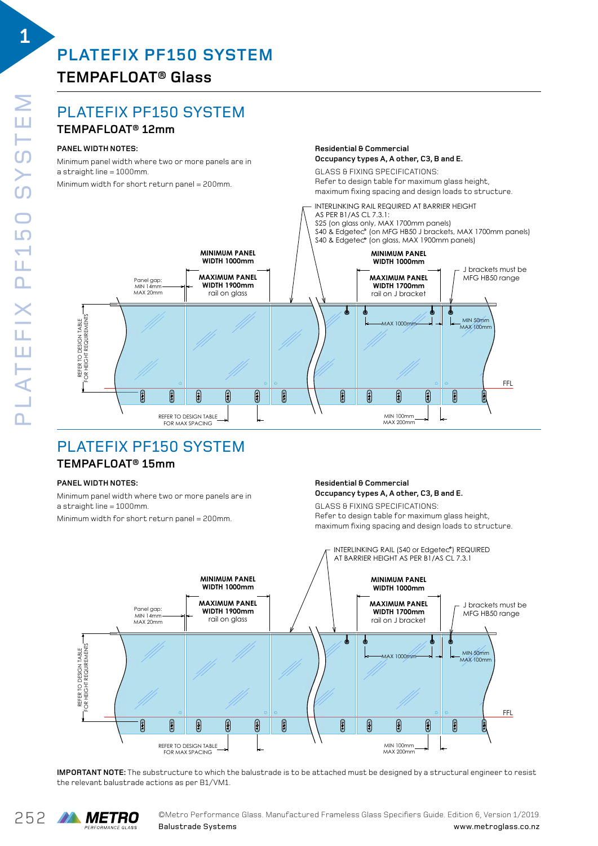## **TEMPAFLOAT® Glass**

## PLATEFIX PF150 SYSTEM

### **TEMPAFLOAT® 12mm**

#### **PANEL WIDTH NOTES:**

Minimum panel width where two or more panels are in a straight line = 1000mm.

 $\pm$ b $\frac{1}{2}$ bert potus panel  $\pm$ 

**1**



ELEVATION DRAWING 03 **Residential & Commercial**

# PLATEFIX PF150 SYSTEM

## PLATE FIX PF150 SYSTEM **TEMPAFLOAT® 15mm**

#### **PANEL WIDTH NOTES:**

PLATE FIX PF150 SYSTEM Minimum panel width where two or more panels are in<br>http://www.characa.com a straight line = 1000mm.

width for short return panel – 200mm Minimum width for short return panel = 200mm.<br>'

#### Occupancy types A, A other, C3, B and E. **Residential & Commercial Residential & Commercial**

**Residential & Commercial Occupancy types A, A other, C3, B and E. COLASS & FIXING SPECIFICATIONS:** GLASS & FIXING OF ECTIVITIONS:

**Residential & Commercial**

Panel width with eight of more panels are in<br> **PANEL REFERENT OF ANTISYS OF FIXING SPECIFICATIONS:**<br> **GLASS & FIXING SPECIFICATIONS:** maximum fixing spacing and design loads to structure. GLASS & FIXING SPECIFICATIONS: Refer to design table for maximum glass height, Refer to design table for maximum glass height,



**IMPORTANT NOTE:** The substructure to which the balustrade is to be attached must be designed by a structural engineer to resist the relevant balustrade actions as per B1/VM1.  $\,$ 

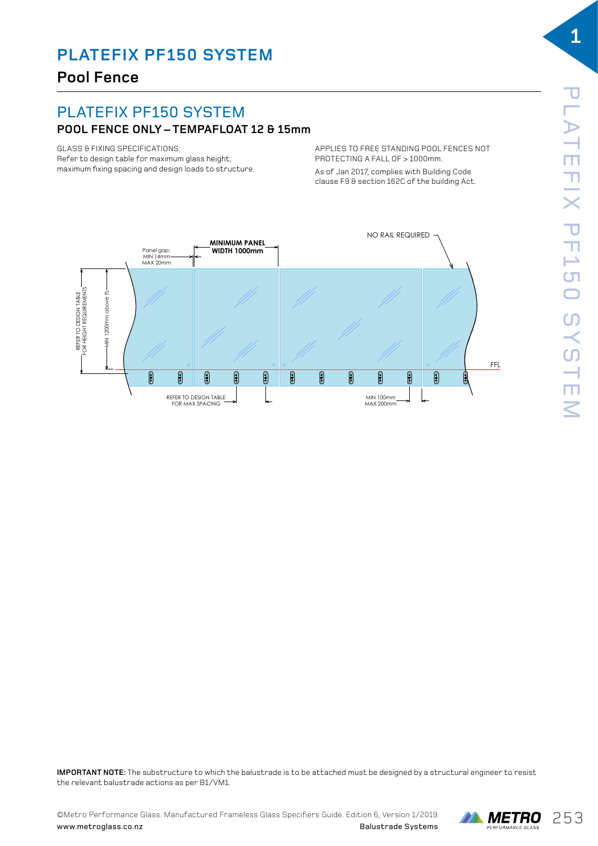## **Pool Fence**

#### $\mathbf{L}$ PLATEFIX PF150 SYSTEM

## **POOL FENCE ONLY – TEMPAFLOAT 12 & 15mm**

GLASS & FIXING SPECIFICATIONS: aches on mind or components.<br>Refer to design table for maximum glass height, maximum fixing spacing and design loads to structure.

APPLIES TO FREE STANDING POOL FENCES NOT APPLIES TO FREE STANDING POOL FENCES NOT PROTECTING A FALL OF > 1000mm. PROTECTING A FALL OF > 1000mm.

As of Jan 2017, complies with Building Code As of Jan 2017, complies with Building Code clause F9 & section 162C of the building Act. clause F9 & section 162C of the building Act.



Plate Fix Product and the product of the product of the product of the product of the product of the product o<br>Product of the product of the product of the product of the product of the product of the product of the produc

rade is to be attached must be designed by a structural engi ر<br>ماد ماد با 15 **IMPORTANT NOTE:** The substructure to which the balustrade is to be attached must be designed by a structural engineer to resist the relevant balustrade actions as per B1/VM1.